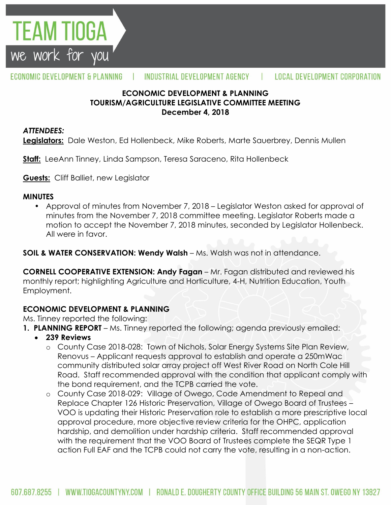

### **ECONOMIC DEVELOPMENT & PLANNING TOURISM/AGRICULTURE LEGISLATIVE COMMITTEE MEETING December 4, 2018**

### *ATTENDEES:*

**EAM TIOGA** 

we work for you

**Legislators:** Dale Weston, Ed Hollenbeck, Mike Roberts, Marte Sauerbrey, Dennis Mullen

**Staff:** LeeAnn Tinney, Linda Sampson, Teresa Saraceno, Rita Hollenbeck

**Guests:** Cliff Balliet, new Legislator

#### **MINUTES**

• Approval of minutes from November 7, 2018 – Legislator Weston asked for approval of minutes from the November 7, 2018 committee meeting. Legislator Roberts made a motion to accept the November 7, 2018 minutes, seconded by Legislator Hollenbeck. All were in favor.

**SOIL & WATER CONSERVATION: Wendy Walsh** – Ms. Walsh was not in attendance.

**CORNELL COOPERATIVE EXTENSION: Andy Fagan** – Mr. Fagan distributed and reviewed his monthly report; highlighting Agriculture and Horticulture, 4-H, Nutrition Education, Youth Employment.

### **ECONOMIC DEVELOPMENT & PLANNING**

Ms. Tinney reported the following:

- **1. PLANNING REPORT** Ms. Tinney reported the following; agenda previously emailed:
	- **239 Reviews**
		- o County Case 2018-028: Town of Nichols, Solar Energy Systems Site Plan Review, Renovus – Applicant requests approval to establish and operate a 250mWac community distributed solar array project off West River Road on North Cole Hill Road. Staff recommended approval with the condition that applicant comply with the bond requirement, and the TCPB carried the vote.
		- o County Case 2018-029: Village of Owego, Code Amendment to Repeal and Replace Chapter 126 Historic Preservation, Village of Owego Board of Trustees – VOO is updating their Historic Preservation role to establish a more prescriptive local approval procedure, more objective review criteria for the OHPC, application hardship, and demolition under hardship criteria. Staff recommended approval with the requirement that the VOO Board of Trustees complete the SEQR Type 1 action Full EAF and the TCPB could not carry the vote, resulting in a non-action.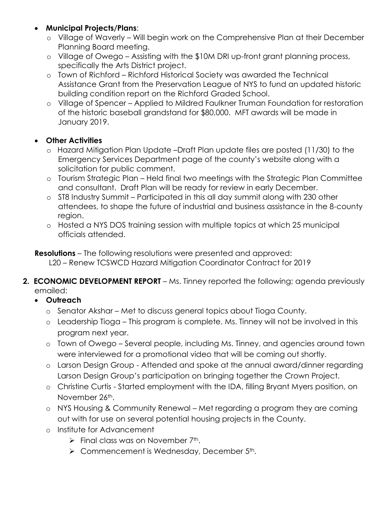- **Municipal Projects/Plans**:
	- o Village of Waverly Will begin work on the Comprehensive Plan at their December Planning Board meeting.
	- o Village of Owego Assisting with the \$10M DRI up-front grant planning process, specifically the Arts District project.
	- o Town of Richford Richford Historical Society was awarded the Technical Assistance Grant from the Preservation League of NYS to fund an updated historic building condition report on the Richford Graded School.
	- o Village of Spencer Applied to Mildred Faulkner Truman Foundation for restoration of the historic baseball grandstand for \$80,000. MFT awards will be made in January 2019.

## **Other Activities**

- o Hazard Mitigation Plan Update –Draft Plan update files are posted (11/30) to the Emergency Services Department page of the county's website along with a solicitation for public comment.
- o Tourism Strategic Plan Held final two meetings with the Strategic Plan Committee and consultant. Draft Plan will be ready for review in early December.
- o ST8 Industry Summit Participated in this all day summit along with 230 other attendees, to shape the future of industrial and business assistance in the 8-county region.
- o Hosted a NYS DOS training session with multiple topics at which 25 municipal officials attended.

**Resolutions** – The following resolutions were presented and approved:

L20 – Renew TCSWCD Hazard Mitigation Coordinator Contract for 2019

- **2. ECONOMIC DEVELOPMENT REPORT** Ms. Tinney reported the following; agenda previously emailed:
	- **Outreach**
		- o Senator Akshar Met to discuss general topics about Tioga County.
		- o Leadership Tioga This program is complete. Ms. Tinney will not be involved in this program next year.
		- o Town of Owego Several people, including Ms. Tinney, and agencies around town were interviewed for a promotional video that will be coming out shortly.
		- o Larson Design Group Attended and spoke at the annual award/dinner regarding Larson Design Group's participation on bringing together the Crown Project.
		- o Christine Curtis Started employment with the IDA, filling Bryant Myers position, on November 26th.
		- o NYS Housing & Community Renewal Met regarding a program they are coming out with for use on several potential housing projects in the County.
		- o Institute for Advancement
			- $\triangleright$  Final class was on November 7<sup>th</sup>.
			- $\triangleright$  Commencement is Wednesday, December 5<sup>th</sup>.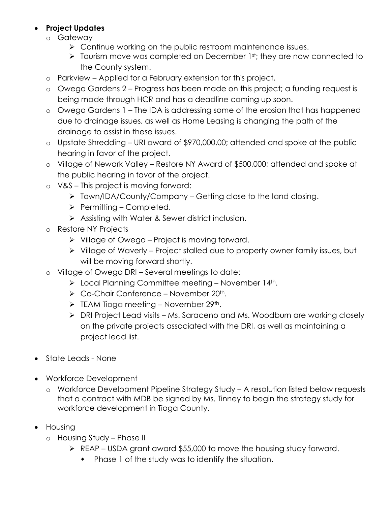## **Project Updates**

- o Gateway
	- **EXECONTERGOUT CONTINUM** Continue working on the public restroom maintenance issues.
	- $\triangleright$  Tourism move was completed on December 1st; they are now connected to the County system.
- o Parkview Applied for a February extension for this project.
- o Owego Gardens 2 Progress has been made on this project; a funding request is being made through HCR and has a deadline coming up soon.
- o Owego Gardens 1 The IDA is addressing some of the erosion that has happened due to drainage issues, as well as Home Leasing is changing the path of the drainage to assist in these issues.
- o Upstate Shredding URI award of \$970,000.00; attended and spoke at the public hearing in favor of the project.
- o Village of Newark Valley Restore NY Award of \$500,000; attended and spoke at the public hearing in favor of the project.
- o V&S This project is moving forward:
	- $\triangleright$  Town/IDA/County/Company Getting close to the land closing.
	- $\triangleright$  Permitting Completed.
	- Assisting with Water & Sewer district inclusion.
- o Restore NY Projects
	- $\triangleright$  Village of Owego Project is moving forward.
	- $\triangleright$  Village of Waverly Project stalled due to property owner family issues, but will be moving forward shortly.
- o Village of Owego DRI Several meetings to date:
	- $\triangleright$  Local Planning Committee meeting November 14<sup>th</sup>.
	- $\triangleright$  Co-Chair Conference November 20<sup>th</sup>.
	- $\triangleright$  TEAM Tioga meeting November 29<sup>th</sup>.
	- DRI Project Lead visits Ms. Saraceno and Ms. Woodburn are working closely on the private projects associated with the DRI, as well as maintaining a project lead list.
- State Leads None
- Workforce Development
	- o Workforce Development Pipeline Strategy Study A resolution listed below requests that a contract with MDB be signed by Ms. Tinney to begin the strategy study for workforce development in Tioga County.
- Housing
	- o Housing Study Phase II
		- $\triangleright$  REAP USDA grant award \$55,000 to move the housing study forward.
			- Phase 1 of the study was to identify the situation.